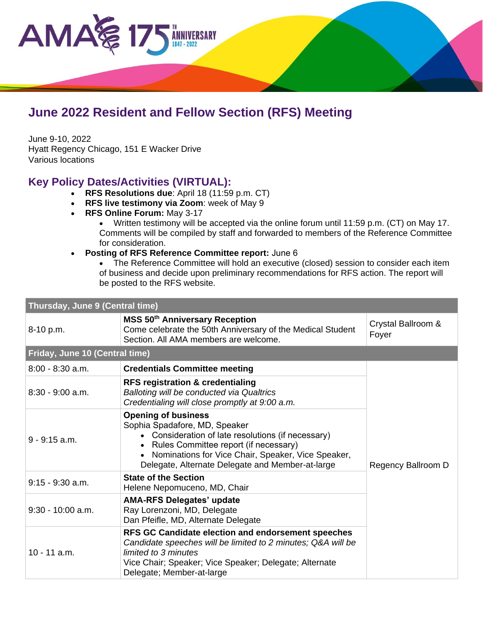

## **June 2022 Resident and Fellow Section (RFS) Meeting**

June 9-10, 2022 Hyatt Regency Chicago, 151 E Wacker Drive Various locations

## **Key Policy Dates/Activities (VIRTUAL):**

- **RFS Resolutions due**: April 18 (11:59 p.m. CT)
- **RFS live testimony via Zoom**: week of May 9
- **RFS Online Forum:** May 3-17
	- Written testimony will be accepted via the online forum until 11:59 p.m. (CT) on May 17. Comments will be compiled by staff and forwarded to members of the Reference Committee for consideration.
- **Posting of RFS Reference Committee report:** June 6
	- The Reference Committee will hold an executive (closed) session to consider each item of business and decide upon preliminary recommendations for RFS action. The report will be posted to the RFS website.

| Thursday, June 9 (Central time) |                                                                                                                                                                                                                                                                      |                             |  |  |
|---------------------------------|----------------------------------------------------------------------------------------------------------------------------------------------------------------------------------------------------------------------------------------------------------------------|-----------------------------|--|--|
| 8-10 p.m.                       | <b>MSS 50th Anniversary Reception</b><br>Come celebrate the 50th Anniversary of the Medical Student<br>Section. All AMA members are welcome.                                                                                                                         | Crystal Ballroom &<br>Foyer |  |  |
| Friday, June 10 (Central time)  |                                                                                                                                                                                                                                                                      |                             |  |  |
| $8:00 - 8:30$ a.m.              | <b>Credentials Committee meeting</b>                                                                                                                                                                                                                                 |                             |  |  |
| $8:30 - 9:00$ a.m.              | <b>RFS registration &amp; credentialing</b><br>Balloting will be conducted via Qualtrics<br>Credentialing will close promptly at 9:00 a.m.                                                                                                                           |                             |  |  |
| $9 - 9:15$ a.m.                 | <b>Opening of business</b><br>Sophia Spadafore, MD, Speaker<br>• Consideration of late resolutions (if necessary)<br>Rules Committee report (if necessary)<br>Nominations for Vice Chair, Speaker, Vice Speaker,<br>Delegate, Alternate Delegate and Member-at-large | Regency Ballroom D          |  |  |
| $9:15 - 9:30$ a.m.              | <b>State of the Section</b><br>Helene Nepomuceno, MD, Chair                                                                                                                                                                                                          |                             |  |  |
| $9:30 - 10:00$ a.m.             | <b>AMA-RFS Delegates' update</b><br>Ray Lorenzoni, MD, Delegate<br>Dan Pfeifle, MD, Alternate Delegate                                                                                                                                                               |                             |  |  |
| $10 - 11$ a.m.                  | RFS GC Candidate election and endorsement speeches<br>Candidate speeches will be limited to 2 minutes; Q&A will be<br>limited to 3 minutes<br>Vice Chair; Speaker; Vice Speaker; Delegate; Alternate<br>Delegate; Member-at-large                                    |                             |  |  |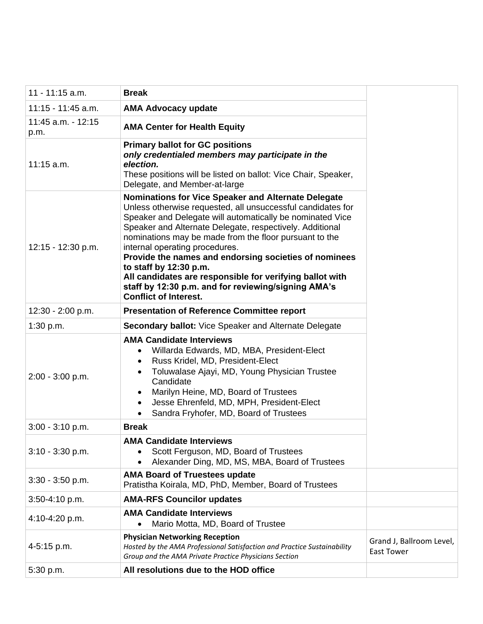| $11 - 11:15$ a.m.          | <b>Break</b>                                                                                                                                                                                                                                                                                                                                                                                                                                                                                                                                                                         |                                               |
|----------------------------|--------------------------------------------------------------------------------------------------------------------------------------------------------------------------------------------------------------------------------------------------------------------------------------------------------------------------------------------------------------------------------------------------------------------------------------------------------------------------------------------------------------------------------------------------------------------------------------|-----------------------------------------------|
| 11:15 - 11:45 a.m.         | <b>AMA Advocacy update</b>                                                                                                                                                                                                                                                                                                                                                                                                                                                                                                                                                           |                                               |
| 11:45 a.m. - 12:15<br>p.m. | <b>AMA Center for Health Equity</b>                                                                                                                                                                                                                                                                                                                                                                                                                                                                                                                                                  |                                               |
| $11:15$ a.m.               | <b>Primary ballot for GC positions</b><br>only credentialed members may participate in the<br>election.<br>These positions will be listed on ballot: Vice Chair, Speaker,<br>Delegate, and Member-at-large                                                                                                                                                                                                                                                                                                                                                                           |                                               |
| 12:15 - 12:30 p.m.         | <b>Nominations for Vice Speaker and Alternate Delegate</b><br>Unless otherwise requested, all unsuccessful candidates for<br>Speaker and Delegate will automatically be nominated Vice<br>Speaker and Alternate Delegate, respectively. Additional<br>nominations may be made from the floor pursuant to the<br>internal operating procedures.<br>Provide the names and endorsing societies of nominees<br>to staff by 12:30 p.m.<br>All candidates are responsible for verifying ballot with<br>staff by 12:30 p.m. and for reviewing/signing AMA's<br><b>Conflict of Interest.</b> |                                               |
| 12:30 - 2:00 p.m.          | <b>Presentation of Reference Committee report</b>                                                                                                                                                                                                                                                                                                                                                                                                                                                                                                                                    |                                               |
| 1:30 p.m.                  | <b>Secondary ballot:</b> Vice Speaker and Alternate Delegate                                                                                                                                                                                                                                                                                                                                                                                                                                                                                                                         |                                               |
| $2:00 - 3:00$ p.m.         | <b>AMA Candidate Interviews</b><br>Willarda Edwards, MD, MBA, President-Elect<br>$\bullet$<br>Russ Kridel, MD, President-Elect<br>$\bullet$<br>Toluwalase Ajayi, MD, Young Physician Trustee<br>Candidate<br>Marilyn Heine, MD, Board of Trustees<br>Jesse Ehrenfeld, MD, MPH, President-Elect<br>Sandra Fryhofer, MD, Board of Trustees                                                                                                                                                                                                                                             |                                               |
| $3:00 - 3:10$ p.m.         | <b>Break</b>                                                                                                                                                                                                                                                                                                                                                                                                                                                                                                                                                                         |                                               |
| $3:10 - 3:30$ p.m.         | <b>AMA Candidate Interviews</b><br>Scott Ferguson, MD, Board of Trustees<br>Alexander Ding, MD, MS, MBA, Board of Trustees                                                                                                                                                                                                                                                                                                                                                                                                                                                           |                                               |
| $3:30 - 3:50$ p.m.         | <b>AMA Board of Truestees update</b><br>Pratistha Koirala, MD, PhD, Member, Board of Trustees                                                                                                                                                                                                                                                                                                                                                                                                                                                                                        |                                               |
| 3:50-4:10 p.m.             | <b>AMA-RFS Councilor updates</b>                                                                                                                                                                                                                                                                                                                                                                                                                                                                                                                                                     |                                               |
| 4:10-4:20 p.m.             | <b>AMA Candidate Interviews</b><br>Mario Motta, MD, Board of Trustee                                                                                                                                                                                                                                                                                                                                                                                                                                                                                                                 |                                               |
| 4-5:15 p.m.                | <b>Physician Networking Reception</b><br>Hosted by the AMA Professional Satisfaction and Practice Sustainability<br>Group and the AMA Private Practice Physicians Section                                                                                                                                                                                                                                                                                                                                                                                                            | Grand J, Ballroom Level,<br><b>East Tower</b> |
| 5:30 p.m.                  | All resolutions due to the HOD office                                                                                                                                                                                                                                                                                                                                                                                                                                                                                                                                                |                                               |